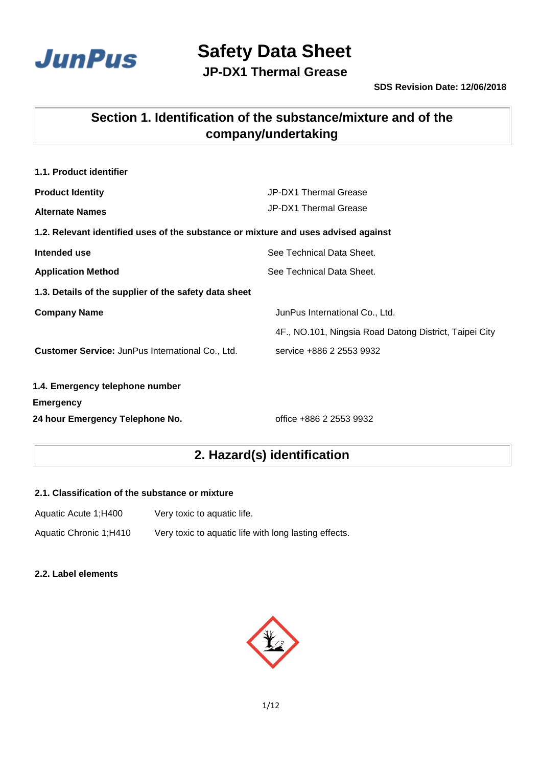

**JP-DX1 Thermal Grease**

## **Section 1. Identification of the substance/mixture and of the company/undertaking**

| 1.1. Product identifier                                                            |                                                        |
|------------------------------------------------------------------------------------|--------------------------------------------------------|
| <b>Product Identity</b>                                                            | JP-DX1 Thermal Grease                                  |
| <b>Alternate Names</b>                                                             | JP-DX1 Thermal Grease                                  |
| 1.2. Relevant identified uses of the substance or mixture and uses advised against |                                                        |
| Intended use                                                                       | See Technical Data Sheet.                              |
| <b>Application Method</b>                                                          | See Technical Data Sheet.                              |
| 1.3. Details of the supplier of the safety data sheet                              |                                                        |
| <b>Company Name</b>                                                                | JunPus International Co., Ltd.                         |
|                                                                                    | 4F., NO.101, Ningsia Road Datong District, Taipei City |
| <b>Customer Service: JunPus International Co., Ltd.</b>                            | service +886 2 2553 9932                               |
| 1.4. Emergency telephone number                                                    |                                                        |
| <b>Emergency</b>                                                                   |                                                        |
| 24 hour Emergency Telephone No.                                                    | office +886 2 2553 9932                                |

## **2. Hazard(s) identification**

#### **2.1. Classification of the substance or mixture**

| Aquatic Acute 1;H400   | Very toxic to aquatic life.                           |
|------------------------|-------------------------------------------------------|
| Aquatic Chronic 1;H410 | Very toxic to aquatic life with long lasting effects. |

#### **2.2. Label elements**

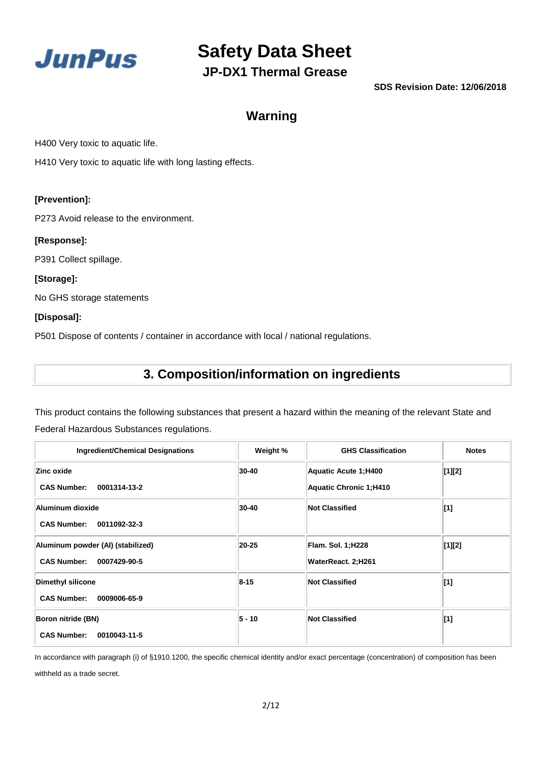

**JP-DX1 Thermal Grease**

**SDS Revision Date: 12/06/2018**

### **Warning**

H400 Very toxic to aquatic life.

H410 Very toxic to aquatic life with long lasting effects.

#### **[Prevention]:**

P273 Avoid release to the environment.

#### **[Response]:**

P391 Collect spillage.

#### **[Storage]:**

No GHS storage statements

#### **[Disposal]:**

P501 Dispose of contents / container in accordance with local / national regulations.

## **3. Composition/information on ingredients**

This product contains the following substances that present a hazard within the meaning of the relevant State and Federal Hazardous Substances regulations.

| <b>Ingredient/Chemical Designations</b>                                 | Weight % | <b>GHS Classification</b>                                    | <b>Notes</b>   |
|-------------------------------------------------------------------------|----------|--------------------------------------------------------------|----------------|
| Zinc oxide<br>0001314-13-2<br><b>CAS Number:</b>                        | 30-40    | <b>Aquatic Acute 1;H400</b><br><b>Aquatic Chronic 1;H410</b> | [1][2]         |
| Aluminum dioxide<br><b>CAS Number:</b><br>0011092-32-3                  | 30-40    | <b>Not Classified</b>                                        | $\mathbf{[1]}$ |
| Aluminum powder (AI) (stabilized)<br><b>CAS Number:</b><br>0007429-90-5 | 20-25    | <b>Flam. Sol. 1;H228</b><br>WaterReact. 2;H261               | [1][2]         |
| <b>Dimethyl silicone</b><br><b>CAS Number:</b><br>0009006-65-9          | $8 - 15$ | <b>Not Classified</b>                                        | $\mathbf{[1]}$ |
| Boron nitride (BN)<br><b>CAS Number:</b><br>0010043-11-5                | $5 - 10$ | <b>Not Classified</b>                                        | $\mathbf{[1]}$ |

In accordance with paragraph (i) of §1910.1200, the specific chemical identity and/or exact percentage (concentration) of composition has been withheld as a trade secret.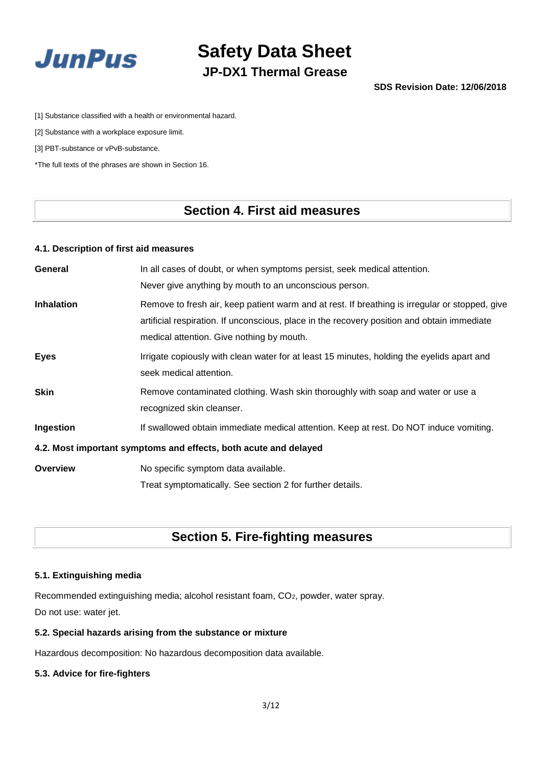

## **Safety Data Sheet JP-DX1 Thermal Grease**

[1] Substance classified with a health or environmental hazard.

[2] Substance with a workplace exposure limit.

[3] PBT-substance or vPvB-substance.

\*The full texts of the phrases are shown in Section 16.

### **Section 4. First aid measures**

#### **4.1. Description of first aid measures**

| General           | In all cases of doubt, or when symptoms persist, seek medical attention.                       |  |
|-------------------|------------------------------------------------------------------------------------------------|--|
|                   | Never give anything by mouth to an unconscious person.                                         |  |
| <b>Inhalation</b> | Remove to fresh air, keep patient warm and at rest. If breathing is irregular or stopped, give |  |
|                   | artificial respiration. If unconscious, place in the recovery position and obtain immediate    |  |
|                   | medical attention. Give nothing by mouth.                                                      |  |
| <b>Eyes</b>       | Irrigate copiously with clean water for at least 15 minutes, holding the eyelids apart and     |  |
|                   | seek medical attention.                                                                        |  |
| <b>Skin</b>       | Remove contaminated clothing. Wash skin thoroughly with soap and water or use a                |  |
|                   | recognized skin cleanser.                                                                      |  |
| Ingestion         | If swallowed obtain immediate medical attention. Keep at rest. Do NOT induce vomiting.         |  |
|                   | 4.2. Most important symptoms and effects, both acute and delayed                               |  |
| <b>Overview</b>   | No specific symptom data available.                                                            |  |
|                   | Treat symptomatically. See section 2 for further details.                                      |  |

### **Section 5. Fire-fighting measures**

#### **5.1. Extinguishing media**

Recommended extinguishing media; alcohol resistant foam, CO2, powder, water spray. Do not use: water jet.

#### **5.2. Special hazards arising from the substance or mixture**

Hazardous decomposition: No hazardous decomposition data available.

#### **5.3. Advice for fire-fighters**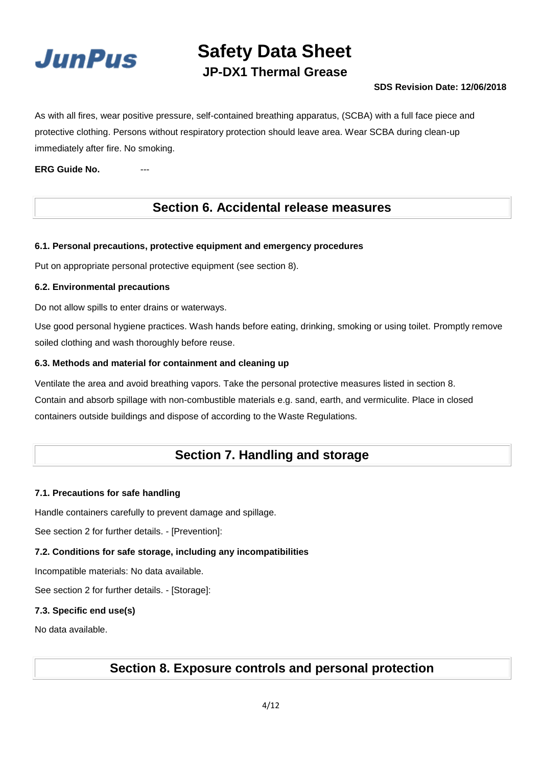

## **JP-DX1 Thermal Grease**

#### **SDS Revision Date: 12/06/2018**

As with all fires, wear positive pressure, self-contained breathing apparatus, (SCBA) with a full face piece and protective clothing. Persons without respiratory protection should leave area. Wear SCBA during clean-up immediately after fire. No smoking.

**ERG Guide No.** 

### **Section 6. Accidental release measures**

#### **6.1. Personal precautions, protective equipment and emergency procedures**

Put on appropriate personal protective equipment (see section 8).

#### **6.2. Environmental precautions**

Do not allow spills to enter drains or waterways.

Use good personal hygiene practices. Wash hands before eating, drinking, smoking or using toilet. Promptly remove soiled clothing and wash thoroughly before reuse.

#### **6.3. Methods and material for containment and cleaning up**

Ventilate the area and avoid breathing vapors. Take the personal protective measures listed in section 8. Contain and absorb spillage with non-combustible materials e.g. sand, earth, and vermiculite. Place in closed containers outside buildings and dispose of according to the Waste Regulations.

### **Section 7. Handling and storage**

#### **7.1. Precautions for safe handling**

Handle containers carefully to prevent damage and spillage.

See section 2 for further details. - [Prevention]:

#### **7.2. Conditions for safe storage, including any incompatibilities**

Incompatible materials: No data available.

See section 2 for further details. - [Storage]:

#### **7.3. Specific end use(s)**

No data available.

## **Section 8. Exposure controls and personal protection**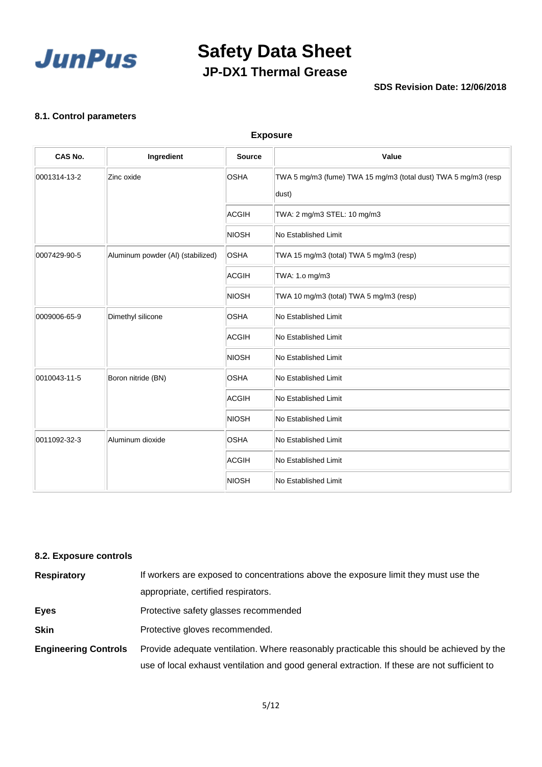

## **Safety Data Sheet JP-DX1 Thermal Grease**

#### **SDS Revision Date: 12/06/2018**

#### **8.1. Control parameters**

#### **Exposure**

| CAS No.      | Ingredient                        | <b>Source</b> | Value                                                                   |
|--------------|-----------------------------------|---------------|-------------------------------------------------------------------------|
| 0001314-13-2 | Zinc oxide                        | <b>OSHA</b>   | TWA 5 mg/m3 (fume) TWA 15 mg/m3 (total dust) TWA 5 mg/m3 (resp<br>dust) |
|              |                                   | <b>ACGIH</b>  | TWA: 2 mg/m3 STEL: 10 mg/m3                                             |
|              |                                   | <b>NIOSH</b>  | No Established Limit                                                    |
| 0007429-90-5 | Aluminum powder (Al) (stabilized) | <b>OSHA</b>   | TWA 15 mg/m3 (total) TWA 5 mg/m3 (resp)                                 |
|              |                                   | <b>ACGIH</b>  | TWA: 1.0 mg/m3                                                          |
|              |                                   | <b>NIOSH</b>  | TWA 10 mg/m3 (total) TWA 5 mg/m3 (resp)                                 |
| 0009006-65-9 | Dimethyl silicone                 | <b>OSHA</b>   | No Established Limit                                                    |
|              |                                   | <b>ACGIH</b>  | No Established Limit                                                    |
|              |                                   | <b>NIOSH</b>  | No Established Limit                                                    |
| 0010043-11-5 | Boron nitride (BN)                | <b>OSHA</b>   | No Established Limit                                                    |
|              |                                   | <b>ACGIH</b>  | No Established Limit                                                    |
|              |                                   | <b>NIOSH</b>  | No Established Limit                                                    |
| 0011092-32-3 | Aluminum dioxide                  | <b>OSHA</b>   | No Established Limit                                                    |
|              |                                   | <b>ACGIH</b>  | No Established Limit                                                    |
|              |                                   | <b>NIOSH</b>  | <b>No Established Limit</b>                                             |

#### **8.2. Exposure controls**

| <b>Respiratory</b>          | If workers are exposed to concentrations above the exposure limit they must use the          |  |  |  |
|-----------------------------|----------------------------------------------------------------------------------------------|--|--|--|
|                             | appropriate, certified respirators.                                                          |  |  |  |
| <b>Eyes</b>                 | Protective safety glasses recommended                                                        |  |  |  |
| <b>Skin</b>                 | Protective gloves recommended.                                                               |  |  |  |
| <b>Engineering Controls</b> | Provide adequate ventilation. Where reasonably practicable this should be achieved by the    |  |  |  |
|                             | use of local exhaust ventilation and good general extraction. If these are not sufficient to |  |  |  |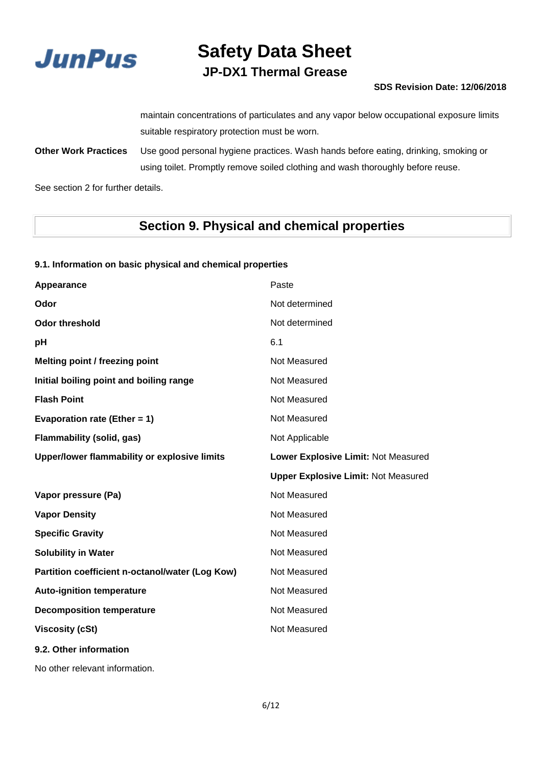

## **JP-DX1 Thermal Grease**

#### **SDS Revision Date: 12/06/2018**

maintain concentrations of particulates and any vapor below occupational exposure limits suitable respiratory protection must be worn.

**Other Work Practices** Use good personal hygiene practices. Wash hands before eating, drinking, smoking or using toilet. Promptly remove soiled clothing and wash thoroughly before reuse.

See section 2 for further details.

## **Section 9. Physical and chemical properties**

#### **9.1. Information on basic physical and chemical properties**

| Appearance                                      | Paste                                      |
|-------------------------------------------------|--------------------------------------------|
| Odor                                            | Not determined                             |
| <b>Odor threshold</b>                           | Not determined                             |
| рH                                              | 6.1                                        |
| Melting point / freezing point                  | Not Measured                               |
| Initial boiling point and boiling range         | Not Measured                               |
| <b>Flash Point</b>                              | Not Measured                               |
| Evaporation rate (Ether = 1)                    | Not Measured                               |
| <b>Flammability (solid, gas)</b>                | Not Applicable                             |
| Upper/lower flammability or explosive limits    | Lower Explosive Limit: Not Measured        |
|                                                 |                                            |
|                                                 | <b>Upper Explosive Limit: Not Measured</b> |
| Vapor pressure (Pa)                             | Not Measured                               |
| <b>Vapor Density</b>                            | Not Measured                               |
| <b>Specific Gravity</b>                         | Not Measured                               |
| <b>Solubility in Water</b>                      | Not Measured                               |
| Partition coefficient n-octanol/water (Log Kow) | Not Measured                               |
| <b>Auto-ignition temperature</b>                | Not Measured                               |
| <b>Decomposition temperature</b>                | Not Measured                               |
| <b>Viscosity (cSt)</b>                          | Not Measured                               |

No other relevant information.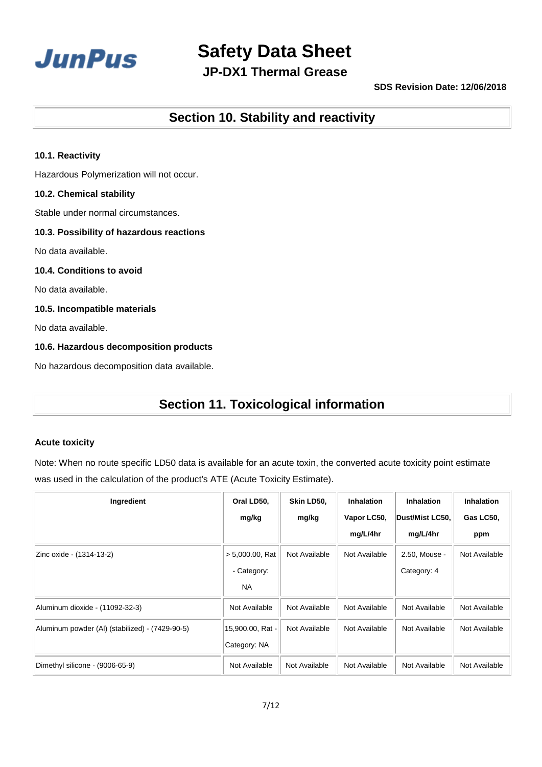

**JP-DX1 Thermal Grease**

#### **SDS Revision Date: 12/06/2018**

**Section 10. Stability and reactivity**

#### **10.1. Reactivity**

Hazardous Polymerization will not occur.

#### **10.2. Chemical stability**

Stable under normal circumstances.

#### **10.3. Possibility of hazardous reactions**

No data available.

#### **10.4. Conditions to avoid**

No data available.

#### **10.5. Incompatible materials**

No data available.

#### **10.6. Hazardous decomposition products**

No hazardous decomposition data available.

## **Section 11. Toxicological information**

#### **Acute toxicity**

Note: When no route specific LD50 data is available for an acute toxin, the converted acute toxicity point estimate was used in the calculation of the product's ATE (Acute Toxicity Estimate).

| Ingredient                                      | Oral LD50,         | Skin LD50,    | Inhalation    | <b>Inhalation</b> | Inhalation    |
|-------------------------------------------------|--------------------|---------------|---------------|-------------------|---------------|
|                                                 | mg/kg              | mg/kg         | Vapor LC50,   | Dust/Mist LC50,   | Gas LC50,     |
|                                                 |                    |               | mg/L/4hr      | mg/L/4hr          | ppm           |
| Zinc oxide - (1314-13-2)                        | $> 5,000.00$ , Rat | Not Available | Not Available | 2.50, Mouse -     | Not Available |
|                                                 | - Category:        |               |               | Category: 4       |               |
|                                                 | <b>NA</b>          |               |               |                   |               |
| Aluminum dioxide - (11092-32-3)                 | Not Available      | Not Available | Not Available | Not Available     | Not Available |
| Aluminum powder (AI) (stabilized) - (7429-90-5) | 15,900.00, Rat -   | Not Available | Not Available | Not Available     | Not Available |
|                                                 | Category: NA       |               |               |                   |               |
| Dimethyl silicone - (9006-65-9)                 | Not Available      | Not Available | Not Available | Not Available     | Not Available |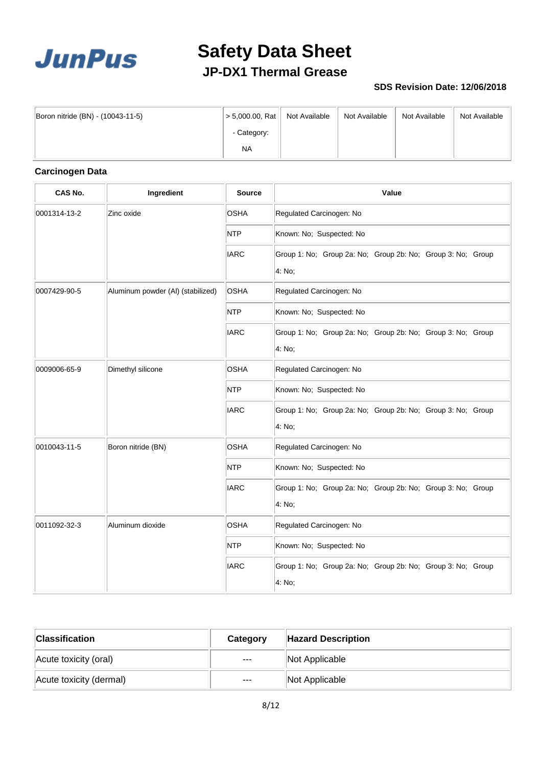

## **Safety Data Sheet JP-DX1 Thermal Grease**

#### **SDS Revision Date: 12/06/2018**

| Boron nitride (BN) - (10043-11-5) | > 5,000.00, Rat ∣ | Not Available | Not Available | Not Available | Not Available |
|-----------------------------------|-------------------|---------------|---------------|---------------|---------------|
|                                   | - Category:       |               |               |               |               |
|                                   | NA.               |               |               |               |               |

### **Carcinogen Data**

| CAS No.      | Ingredient                        | <b>Source</b> | Value                                                                 |
|--------------|-----------------------------------|---------------|-----------------------------------------------------------------------|
| 0001314-13-2 | Zinc oxide                        | <b>OSHA</b>   | Regulated Carcinogen: No                                              |
|              |                                   | <b>NTP</b>    | Known: No; Suspected: No                                              |
|              |                                   | <b>IARC</b>   | Group 1: No; Group 2a: No; Group 2b: No; Group 3: No; Group<br>4: No; |
| 0007429-90-5 | Aluminum powder (Al) (stabilized) | <b>OSHA</b>   | Regulated Carcinogen: No                                              |
|              |                                   | <b>NTP</b>    | Known: No; Suspected: No                                              |
|              |                                   | <b>IARC</b>   | Group 1: No; Group 2a: No; Group 2b: No; Group 3: No; Group<br>4: No; |
| 0009006-65-9 | Dimethyl silicone                 | <b>OSHA</b>   | Regulated Carcinogen: No                                              |
|              |                                   | <b>NTP</b>    | Known: No; Suspected: No                                              |
|              |                                   | <b>IARC</b>   | Group 1: No; Group 2a: No; Group 2b: No; Group 3: No; Group<br>4: No; |
| 0010043-11-5 | Boron nitride (BN)                | <b>OSHA</b>   | Regulated Carcinogen: No                                              |
|              |                                   | <b>NTP</b>    | Known: No; Suspected: No                                              |
|              |                                   | <b>IARC</b>   | Group 1: No; Group 2a: No; Group 2b: No; Group 3: No; Group<br>4: No; |
| 0011092-32-3 | Aluminum dioxide                  | <b>OSHA</b>   | Regulated Carcinogen: No                                              |
|              |                                   | <b>NTP</b>    | Known: No; Suspected: No                                              |
|              |                                   | <b>IARC</b>   | Group 1: No; Group 2a: No; Group 2b: No; Group 3: No; Group<br>4: No; |

| $ $ Classification      | Category | <b>Hazard Description</b> |
|-------------------------|----------|---------------------------|
| Acute toxicity (oral)   | $\cdots$ | Not Applicable            |
| Acute toxicity (dermal) | $---$    | Not Applicable            |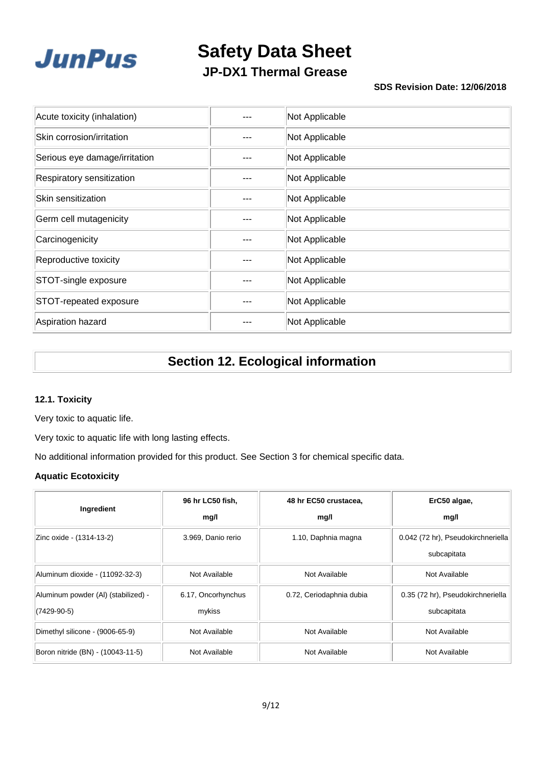

**JP-DX1 Thermal Grease**

#### **SDS Revision Date: 12/06/2018**

| Acute toxicity (inhalation)   | Not Applicable |
|-------------------------------|----------------|
| Skin corrosion/irritation     | Not Applicable |
| Serious eye damage/irritation | Not Applicable |
| Respiratory sensitization     | Not Applicable |
| Skin sensitization            | Not Applicable |
| Germ cell mutagenicity        | Not Applicable |
| Carcinogenicity               | Not Applicable |
| Reproductive toxicity         | Not Applicable |
| STOT-single exposure          | Not Applicable |
| STOT-repeated exposure        | Not Applicable |
| Aspiration hazard             | Not Applicable |

## **Section 12. Ecological information**

#### **12.1. Toxicity**

Very toxic to aquatic life.

Very toxic to aquatic life with long lasting effects.

No additional information provided for this product. See Section 3 for chemical specific data.

#### **Aquatic Ecotoxicity**

| Ingredient                                         | 96 hr LC50 fish,             | 48 hr EC50 crustacea,    | ErC50 algae,                                      |
|----------------------------------------------------|------------------------------|--------------------------|---------------------------------------------------|
|                                                    | mg/l                         | mg/l                     | mg/l                                              |
| Zinc oxide - (1314-13-2)                           | 3.969, Danio rerio           | 1.10, Daphnia magna      | 0.042 (72 hr), Pseudokirchneriella<br>subcapitata |
| Aluminum dioxide - (11092-32-3)                    | Not Available                | Not Available            | Not Available                                     |
| Aluminum powder (AI) (stabilized) -<br>(7429-90-5) | 6.17, Oncorhynchus<br>mykiss | 0.72, Ceriodaphnia dubia | 0.35 (72 hr), Pseudokirchneriella<br>subcapitata  |
| Dimethyl silicone - (9006-65-9)                    | Not Available                | Not Available            | Not Available                                     |
| Boron nitride (BN) - (10043-11-5)                  | Not Available                | Not Available            | Not Available                                     |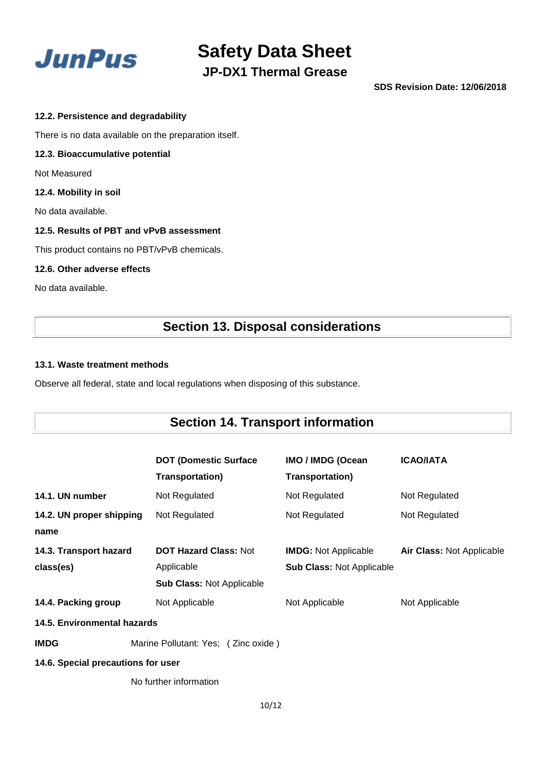

**JP-DX1 Thermal Grease**

**SDS Revision Date: 12/06/2018**

#### **12.2. Persistence and degradability**

There is no data available on the preparation itself.

#### **12.3. Bioaccumulative potential**

Not Measured

#### **12.4. Mobility in soil**

No data available.

#### **12.5. Results of PBT and vPvB assessment**

This product contains no PBT/vPvB chemicals.

#### **12.6. Other adverse effects**

No data available.

## **Section 13. Disposal considerations**

#### **13.1. Waste treatment methods**

Observe all federal, state and local regulations when disposing of this substance.

## **Section 14. Transport information**

|                                    |                                     | <b>DOT (Domestic Surface</b>     | IMO / IMDG (Ocean                | <b>ICAO/IATA</b>          |  |
|------------------------------------|-------------------------------------|----------------------------------|----------------------------------|---------------------------|--|
|                                    |                                     | <b>Transportation)</b>           | <b>Transportation)</b>           |                           |  |
| 14.1. UN number                    |                                     | Not Regulated                    | Not Regulated                    | Not Regulated             |  |
| 14.2. UN proper shipping           |                                     | Not Regulated                    | Not Regulated                    | Not Regulated             |  |
| name                               |                                     |                                  |                                  |                           |  |
| 14.3. Transport hazard             |                                     | <b>DOT Hazard Class: Not</b>     | <b>IMDG:</b> Not Applicable      | Air Class: Not Applicable |  |
| class(es)                          |                                     | Applicable                       | <b>Sub Class: Not Applicable</b> |                           |  |
|                                    |                                     | <b>Sub Class: Not Applicable</b> |                                  |                           |  |
| 14.4. Packing group                |                                     | Not Applicable                   | Not Applicable                   | Not Applicable            |  |
| 14.5. Environmental hazards        |                                     |                                  |                                  |                           |  |
| <b>IMDG</b>                        | Marine Pollutant: Yes; (Zinc oxide) |                                  |                                  |                           |  |
| 14.6. Special precautions for user |                                     |                                  |                                  |                           |  |
|                                    |                                     | No further information           |                                  |                           |  |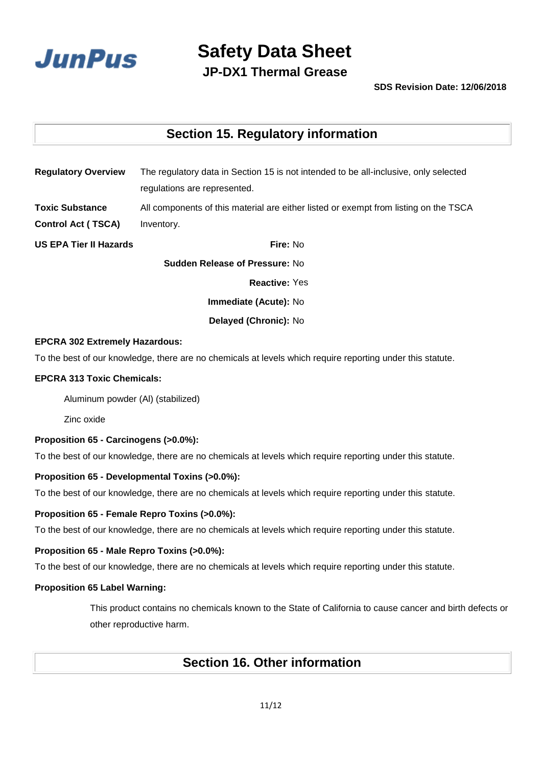

**JP-DX1 Thermal Grease**

#### **SDS Revision Date: 12/06/2018**

## **Section 15. Regulatory information**

| <b>Regulatory Overview</b>            | The regulatory data in Section 15 is not intended to be all-inclusive, only selected |  |  |  |
|---------------------------------------|--------------------------------------------------------------------------------------|--|--|--|
|                                       | regulations are represented.                                                         |  |  |  |
| <b>Toxic Substance</b>                | All components of this material are either listed or exempt from listing on the TSCA |  |  |  |
| <b>Control Act (TSCA)</b>             | Inventory.                                                                           |  |  |  |
| <b>US EPA Tier II Hazards</b>         | Fire: No                                                                             |  |  |  |
| <b>Sudden Release of Pressure: No</b> |                                                                                      |  |  |  |
|                                       | <b>Reactive: Yes</b>                                                                 |  |  |  |
|                                       |                                                                                      |  |  |  |

**Immediate (Acute):** No

**Delayed (Chronic):** No

#### **EPCRA 302 Extremely Hazardous:**

To the best of our knowledge, there are no chemicals at levels which require reporting under this statute.

#### **EPCRA 313 Toxic Chemicals:**

Aluminum powder (Al) (stabilized)

Zinc oxide

#### **Proposition 65 - Carcinogens (>0.0%):**

To the best of our knowledge, there are no chemicals at levels which require reporting under this statute.

#### **Proposition 65 - Developmental Toxins (>0.0%):**

To the best of our knowledge, there are no chemicals at levels which require reporting under this statute.

#### **Proposition 65 - Female Repro Toxins (>0.0%):**

To the best of our knowledge, there are no chemicals at levels which require reporting under this statute.

#### **Proposition 65 - Male Repro Toxins (>0.0%):**

To the best of our knowledge, there are no chemicals at levels which require reporting under this statute.

#### **Proposition 65 Label Warning:**

This product contains no chemicals known to the State of California to cause cancer and birth defects or other reproductive harm.

### **Section 16. Other information**